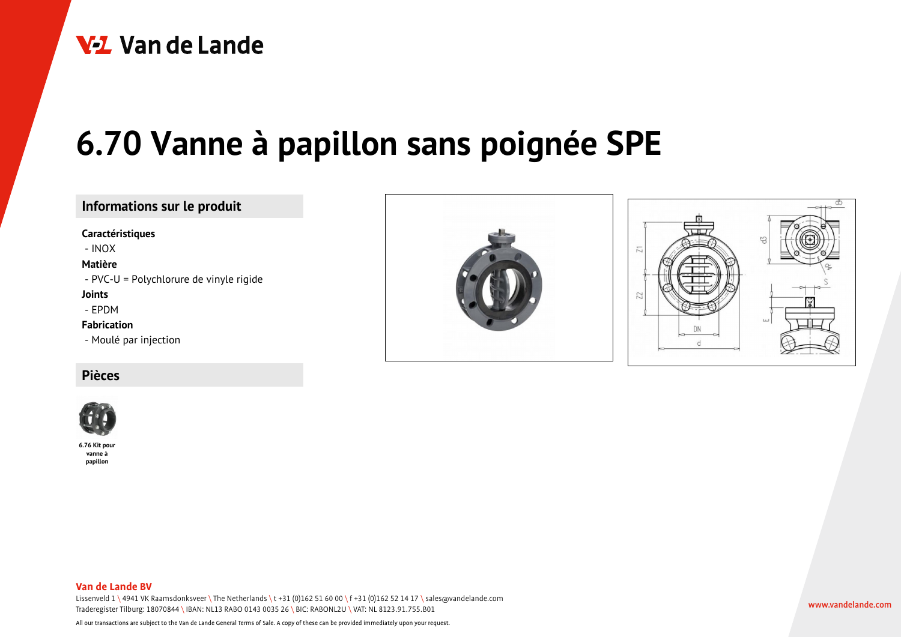

# **6.70 Vanne à papillon sans poignée SPE**

## **Informations sur le produit**

#### **Caractéristiques**

- INOX

#### **Matière**

- PVC-U = Polychlorure de vinyle rigide

#### **Joints**

- EPDM

#### **Fabrication**

- Moulé par injection

### **Pièces**



**6.76 Kit pour vanne à papillon**



#### **Van de Lande BV**

Lissenveld 1 \ 4941 VK Raamsdonksveer \ The Netherlands \t +31 (0)162 51 60 00 \f +31 (0)162 52 14 17 \ sales@vandelande.com Traderegister Tilburg: 18070844 \ IBAN: NL13 RABO 0143 0035 26 \ BIC: RABONL2U \ VAT: NL 8123.91.755.B01